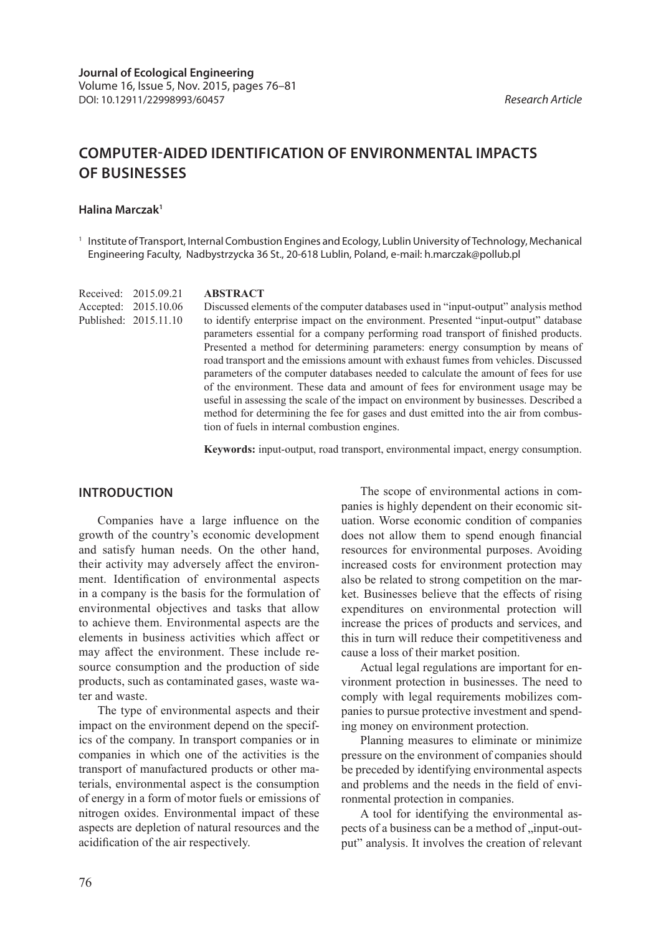# **COMPUTER-AIDED IDENTIFICATION OF ENVIRONMENTAL IMPACTS OF BUSINESSES**

#### **Halina Marczak1**

Published: 2015.11.10

<sup>1</sup> Institute of Transport, Internal Combustion Engines and Ecology, Lublin University of Technology, Mechanical Engineering Faculty, Nadbystrzycka 36 St., 20-618 Lublin, Poland, e-mail: h.marczak@pollub.pl

**ABSTRACT** Received: 2015.09.21 Accepted: 2015.10.06

Discussed elements of the computer databases used in "input-output" analysis method to identify enterprise impact on the environment. Presented "input-output" database parameters essential for a company performing road transport of finished products. Presented a method for determining parameters: energy consumption by means of road transport and the emissions amount with exhaust fumes from vehicles. Discussed parameters of the computer databases needed to calculate the amount of fees for use of the environment. These data and amount of fees for environment usage may be useful in assessing the scale of the impact on environment by businesses. Described a method for determining the fee for gases and dust emitted into the air from combustion of fuels in internal combustion engines.

**Keywords:** input-output, road transport, environmental impact, energy consumption.

## **INTRODUCTION**

Companies have a large influence on the growth of the country's economic development and satisfy human needs. On the other hand, their activity may adversely affect the environment. Identification of environmental aspects in a company is the basis for the formulation of environmental objectives and tasks that allow to achieve them. Environmental aspects are the elements in business activities which affect or may affect the environment. These include resource consumption and the production of side products, such as contaminated gases, waste water and waste.

The type of environmental aspects and their impact on the environment depend on the specifics of the company. In transport companies or in companies in which one of the activities is the transport of manufactured products or other materials, environmental aspect is the consumption of energy in a form of motor fuels or emissions of nitrogen oxides. Environmental impact of these aspects are depletion of natural resources and the acidification of the air respectively.

The scope of environmental actions in companies is highly dependent on their economic situation. Worse economic condition of companies does not allow them to spend enough financial resources for environmental purposes. Avoiding increased costs for environment protection may also be related to strong competition on the market. Businesses believe that the effects of rising expenditures on environmental protection will increase the prices of products and services, and this in turn will reduce their competitiveness and cause a loss of their market position.

Actual legal regulations are important for environment protection in businesses. The need to comply with legal requirements mobilizes companies to pursue protective investment and spending money on environment protection.

Planning measures to eliminate or minimize pressure on the environment of companies should be preceded by identifying environmental aspects and problems and the needs in the field of environmental protection in companies.

A tool for identifying the environmental aspects of a business can be a method of , input-output" analysis. It involves the creation of relevant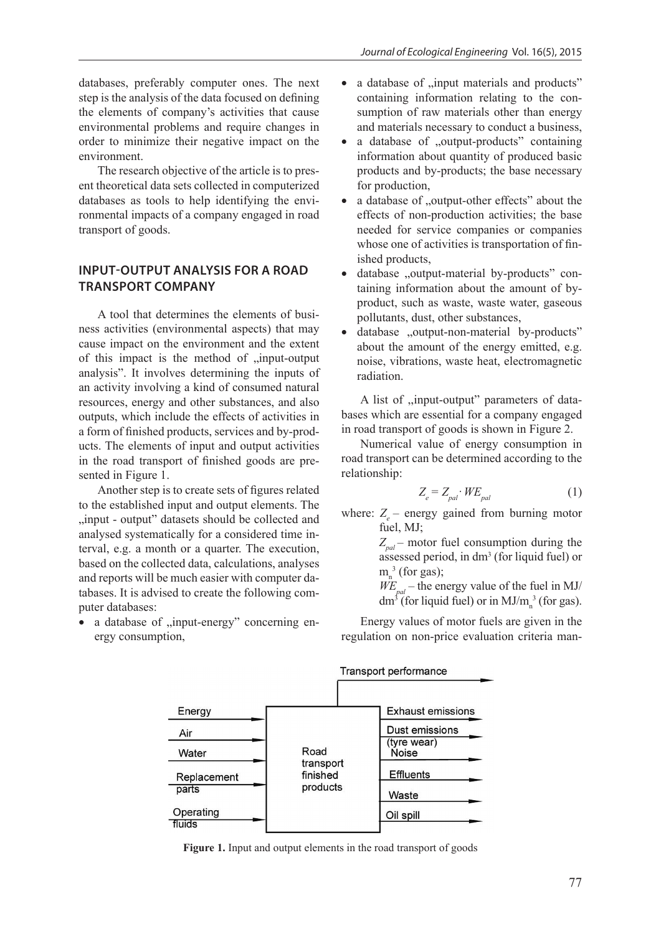databases, preferably computer ones. The next step is the analysis of the data focused on defining the elements of company's activities that cause environmental problems and require changes in order to minimize their negative impact on the environment.

The research objective of the article is to present theoretical data sets collected in computerized databases as tools to help identifying the environmental impacts of a company engaged in road transport of goods.

# **INPUT-OUTPUT ANALYSIS FOR A ROAD TRANSPORT COMPANY**

A tool that determines the elements of business activities (environmental aspects) that may cause impact on the environment and the extent of this impact is the method of "input-output analysis". It involves determining the inputs of an activity involving a kind of consumed natural resources, energy and other substances, and also outputs, which include the effects of activities in a form of finished products, services and by-products. The elements of input and output activities in the road transport of finished goods are presented in Figure 1.

Another step is to create sets of figures related to the established input and output elements. The ..input - output" datasets should be collected and analysed systematically for a considered time interval, e.g. a month or a quarter. The execution, based on the collected data, calculations, analyses and reports will be much easier with computer databases. It is advised to create the following computer databases:

a database of "input-energy" concerning energy consumption,

- a database of "input materials and products" containing information relating to the consumption of raw materials other than energy and materials necessary to conduct a business,
- a database of "output-products" containing information about quantity of produced basic products and by-products; the base necessary for production,
- a database of "output-other effects" about the effects of non-production activities; the base needed for service companies or companies whose one of activities is transportation of finished products,
- database "output-material by-products" containing information about the amount of byproduct, such as waste, waste water, gaseous pollutants, dust, other substances,
- database "output-non-material by-products" about the amount of the energy emitted, e.g. noise, vibrations, waste heat, electromagnetic radiation.

A list of ,,input-output" parameters of databases which are essential for a company engaged in road transport of goods is shown in Figure 2.

Numerical value of energy consumption in road transport can be determined according to the relationship:

$$
Z_e = Z_{pal} \cdot WE_{pal} \tag{1}
$$

where:  $Z_{e}$  – energy gained from burning motor fuel, MJ;

 $Z_{pol}$  – motor fuel consumption during the assessed period, in dm<sup>3</sup> (for liquid fuel) or  $m_n^3$  (for gas);

 $W E_{pal}$  – the energy value of the fuel in MJ/ dm<sup>3</sup> (for liquid fuel) or in  $MJ/m<sub>n</sub><sup>3</sup>$  (for gas).

Energy values of motor fuels are given in the regulation on non-price evaluation criteria man-



**Figure 1.** Input and output elements in the road transport of goods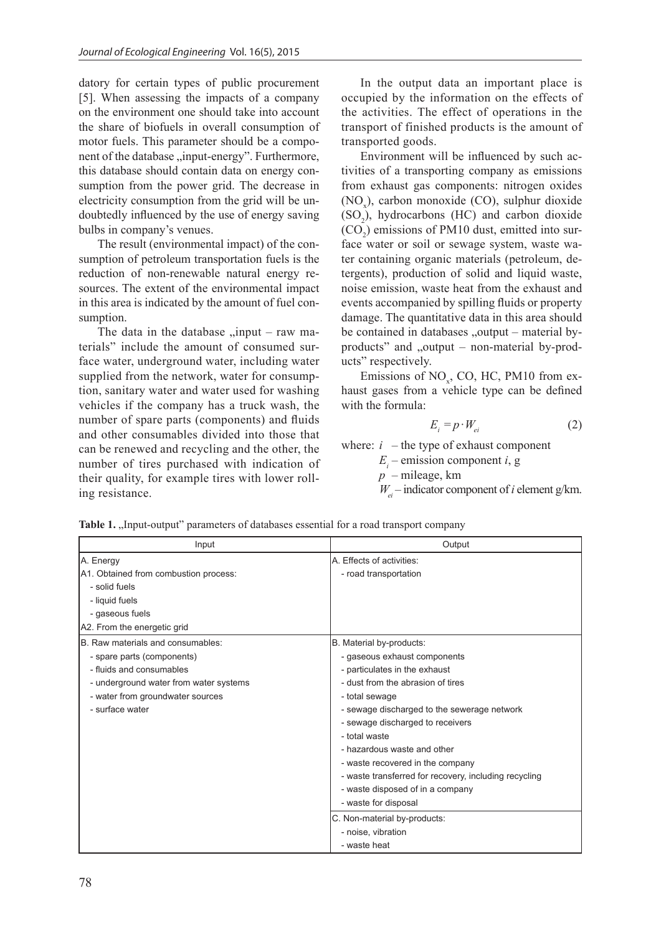datory for certain types of public procurement [5]. When assessing the impacts of a company on the environment one should take into account the share of biofuels in overall consumption of motor fuels. This parameter should be a component of the database "input-energy". Furthermore, this database should contain data on energy consumption from the power grid. The decrease in electricity consumption from the grid will be undoubtedly influenced by the use of energy saving bulbs in company's venues.

The result (environmental impact) of the consumption of petroleum transportation fuels is the reduction of non-renewable natural energy resources. The extent of the environmental impact in this area is indicated by the amount of fuel consumption.

The data in the database  $\mu$ input – raw materials" include the amount of consumed surface water, underground water, including water supplied from the network, water for consumption, sanitary water and water used for washing vehicles if the company has a truck wash, the number of spare parts (components) and fluids and other consumables divided into those that can be renewed and recycling and the other, the number of tires purchased with indication of their quality, for example tires with lower rolling resistance.

In the output data an important place is occupied by the information on the effects of the activities. The effect of operations in the transport of finished products is the amount of transported goods.

Environment will be influenced by such activities of a transporting company as emissions from exhaust gas components: nitrogen oxides  $(NO<sub>x</sub>)$ , carbon monoxide  $(CO)$ , sulphur dioxide  $(SO<sub>2</sub>)$ , hydrocarbons (HC) and carbon dioxide  $(CO<sub>2</sub>)$  emissions of PM10 dust, emitted into surface water or soil or sewage system, waste water containing organic materials (petroleum, detergents), production of solid and liquid waste, noise emission, waste heat from the exhaust and events accompanied by spilling fluids or property damage. The quantitative data in this area should be contained in databases  $\omega$ , output – material byproducts" and "output – non-material by-products" respectively.

Emissions of  $NO<sub>x</sub>$ , CO, HC, PM10 from exhaust gases from a vehicle type can be defined with the formula:

$$
E_i = p \cdot W_{ei} \tag{2}
$$

where:  $i$  – the type of exhaust component

 $E_i$  – emission component *i*, g

*p –* mileage, km

 $W_{el}$  – indicator component of *i* element g/km.

| Input                                  | Output                                                |
|----------------------------------------|-------------------------------------------------------|
| A. Energy                              | A. Effects of activities:                             |
| A1. Obtained from combustion process:  | - road transportation                                 |
| - solid fuels                          |                                                       |
| - liquid fuels                         |                                                       |
| - gaseous fuels                        |                                                       |
| A2. From the energetic grid            |                                                       |
| B. Raw materials and consumables:      | B. Material by-products:                              |
| - spare parts (components)             | - gaseous exhaust components                          |
| - fluids and consumables               | - particulates in the exhaust                         |
| - underground water from water systems | - dust from the abrasion of tires                     |
| - water from groundwater sources       | - total sewage                                        |
| - surface water                        | - sewage discharged to the sewerage network           |
|                                        | - sewage discharged to receivers                      |
|                                        | - total waste                                         |
|                                        | - hazardous waste and other                           |
|                                        | - waste recovered in the company                      |
|                                        | - waste transferred for recovery, including recycling |
|                                        | - waste disposed of in a company                      |
|                                        | - waste for disposal                                  |
|                                        | C. Non-material by-products:                          |
|                                        | - noise, vibration                                    |
|                                        | - waste heat                                          |

Table 1. "Input-output" parameters of databases essential for a road transport company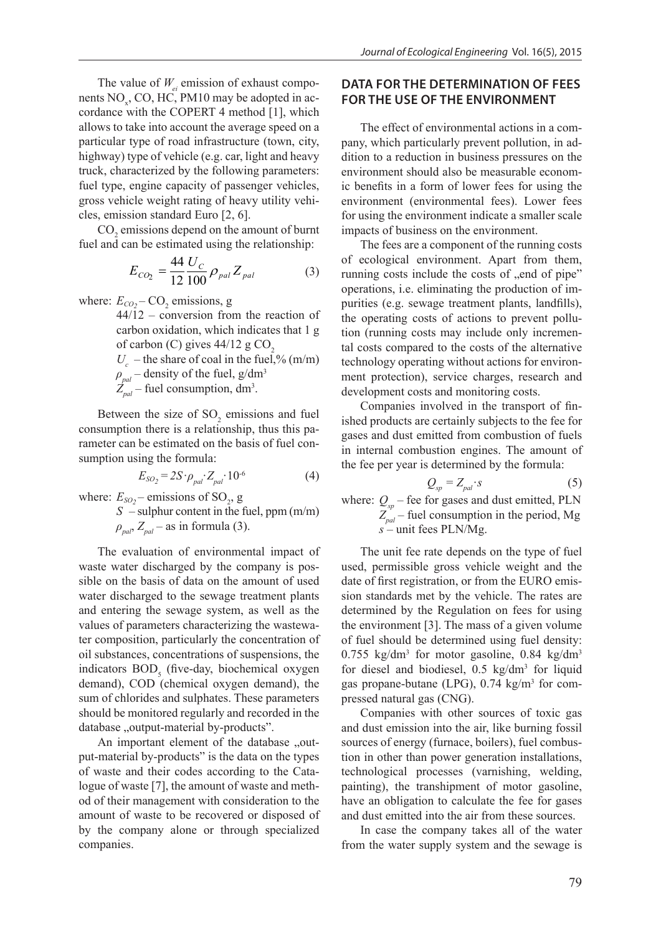The value of  $W_{ei}$  emission of exhaust compo-<br> **DATA FOR THE DETI**<br> **EQUATE:**  $\frac{1}{2}$  *PM10* move be adopted in as nents  $NO<sub>x</sub>$ , CO, HC, PM10 may be adopted in accordance with the COPERT 4 method [1], which  $\frac{1}{2}$ allows to take into account the average speed on a particular type of road infrastructure (town, city, highway) type of vehicle (e.g. car, light and heavy truck, characterized by the following parameters: environment should also fuel type, engine capacity of passenger vehicles, ic benefits in a form of gross vehicle weight rating of heavy utility vehi-<br>environment (environment) cles, emission standard Euro [2, 6]. for using the environme *Ei -* emission component *i*, g

 $CO<sub>2</sub>$  emissions depend on the amount of burnt imp fuel and can be estimated using the relationship: The fees are a

$$
E_{CO_2} = \frac{44}{12} \frac{U_C}{100} \rho_{pal} Z_{pal}
$$
 (3)

where:  $E_{CO_2}$  – CO<sub>2</sub> emissions, g

carbon oxidation, which indicates that  $1 g$  tion (running costs may  $U_c$  – the share of coal in the fuel,% (m/m) 44/12 – conversion from the reaction of of carbon (C) gives  $44/12$  g CO<sub>2</sub>  $\rho_{\text{rad}}$  – density of the fuel, g/dm<sup>3</sup>  $Z_{pal}$  – fuel consumption, dm<sup>3</sup>.

Between the size of  $SO_2$  emissions and fuel consumption there is a relationship, thus this pa-<br>remater can be estimated on the basis of fixel can *SO*<sup>2</sup> *E* - emissions of SO2, g rameter can be estimated on the basis of fuel consumption using the formula:

$$
E_{SO_2} = 2S \cdot \rho_{pal} \cdot Z_{pal} \cdot 10^{-6}
$$
 (4)

 $\mathcal{S}$  -body content in the fuel, ppm (m/m) (m/m) (m/m) (m/m) (m/m) (m/m) (m/m) (m/m) (m/m) (m/m) (m/m) (m/m) (m/m) (m/m) (m/m) (m/m) (m/m) (m/m) (m/m) (m/m) (m/m) (m/m) (m/m) (m/m) (m/m) (m/m) (m/m) (m/m) (m/m) (m/m) ( *ρpal*, *Zpal* - as in formula (3). where:  $E_{SO_2}$  – emissions of SO<sub>2</sub>, g

S – sulphur content in the fuel, ppm (m/m)  
\n
$$
\widetilde{Z}_{pal}^{sp}
$$
 – fuel consumption  
\n $\widetilde{Z}_{pal}^{sp}$  – fuel consumption  
\n $s$  – unit fees PLN/Mg.

The evaluation of environmental impact of The unit fee rate de waste water discharged by the company is pos-<br>used, permissible gross sible on the basis of data on the amount of used date of first registration and entering the sewage system, as well as the determined by the Reg values of parameters characterizing the wastewa-<br>the environment [3]. The ter composition, particularly the concentration of of fuel should be detern oil substances, concentrations of suspensions, the water discharged to the sewage treatment plants indicators  $BOD_5$  (five-day, biochemical oxygen demand), COD (chemical oxygen demand), the sum of chlorides and sulphates. These parameters should be monitored regularly and recorded in the database "output-material by-products".

> An important element of the database "output-material by-products" is the data on the types of waste and their codes according to the Catalogue of waste [7], the amount of waste and method of their management with consideration to the amount of waste to be recovered or disposed of by the company alone or through specialized companies.

# **DATA FOR THE DETERMINATION OF FEES FOR THE USE OF THE ENVIRONMENT**

The effect of environmental actions in a company, which particularly prevent pollution, in addition to a reduction in business pressures on the environment should also be measurable economic benefits in a form of lower fees for using the environment (environmental fees). Lower fees for using the environment indicate a smaller scale impacts of business on the environment.

 $\sum_{2} = \frac{144}{12} \frac{C_{C}}{100} \rho_{pal} Z_{pal}$  (3) running costs include the costs of "end of pipe" The fees are a component of the running costs of ecological environment. Apart from them, operations, i.e. eliminating the production of impurities (e.g. sewage treatment plants, landfills), the operating costs of actions to prevent pollution (running costs may include only incremental costs compared to the costs of the alternative technology operating without actions for environment protection), service charges, research and development costs and monitoring costs.

 $B_{\text{other}}$  companies involved in the transport of fin-<br>
Companies involved in the transport of finished products are certainly subjects to the fee for gases and dust emitted from combustion of fuels in internal combustion engines. The amount of the fee per year is determined by the formula:

$$
Q_{sp} = Z_{pal} \t s
$$
 (5)  
where:  $Q_{sp}$  – fee for gases and dust emitted, PLN  
 $Z_{pal}$  – fuel consumption in the period, Mg

 $\tau$  set as well as well as well as well as well as the wastewaters characterizing the wastewater composition,  $\alpha$ The unit fee rate depends on the type of fuel used, permissible gross vehicle weight and the date of first registration, or from the EURO emission standards met by the vehicle. The rates are determined by the Regulation on fees for using the environment [3]. The mass of a given volume of fuel should be determined using fuel density:  $0.755 \text{ kg/dm}^3$  for motor gasoline,  $0.84 \text{ kg/dm}^3$ for diesel and biodiesel,  $0.5 \text{ kg/dm}^3$  for liquid gas propane-butane (LPG),  $0.74 \text{ kg/m}^3$  for compressed natural gas (CNG).

> Companies with other sources of toxic gas and dust emission into the air, like burning fossil sources of energy (furnace, boilers), fuel combustion in other than power generation installations, technological processes (varnishing, welding, painting), the transhipment of motor gasoline, have an obligation to calculate the fee for gases and dust emitted into the air from these sources.

> In case the company takes all of the water from the water supply system and the sewage is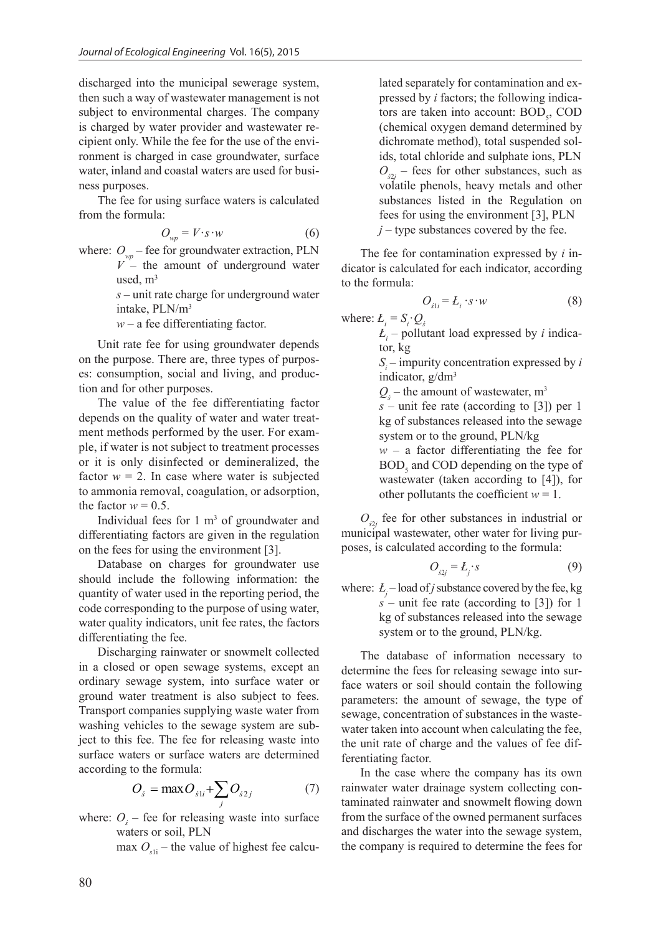discharged into the municipal sewerage system, then such a way of wastewater management is not subject to environmental charges. The company is charged by water provider and wastewater recipient only. While the fee for the use of the environment is charged in case groundwater, surface water, inland and coastal waters are used for business purposes.

The fee for using surface waters is calculated from the formula:

$$
O_{wp} = V \cdot s \cdot w \tag{6}
$$

where:  $O_{wp}$  – fee for groundwater extraction, PLN  $V$  – the amount of underground water used, m<sup>3</sup>

> *s* – unit rate charge for underground water intake, PLN/m<sup>3</sup>

 $w - a$  fee differentiating factor.

Unit rate fee for using groundwater depends on the purpose. There are, three types of purposes: consumption, social and living, and production and for other purposes.

The value of the fee differentiating factor depends on the quality of water and water treatment methods performed by the user. For example, if water is not subject to treatment processes or it is only disinfected or demineralized, the factor  $w = 2$ . In case where water is subjected to ammonia removal, coagulation, or adsorption, the factor  $w = 0.5$ .

Individual fees for  $1 \text{ m}^3$  of groundwater and differentiating factors are given in the regulation on the fees for using the environment [3].

Database on charges for groundwater use should include the following information: the quantity of water used in the reporting period, the code corresponding to the purpose of using water, water quality indicators, unit fee rates, the factors differentiating the fee.

Discharging rainwater or snowmelt collected in a closed or open sewage systems, except an ordinary sewage system, into surface water or ground water treatment is also subject to fees. Transport companies supplying waste water from washing vehicles to the sewage system are subject to this fee. The fee for releasing waste into surface waters or surface waters are determined ferentiating factor. according to the formula:

$$
O_s = \max O_{s1i} + \sum_j O_{s2j} \tag{7}
$$

waters or soil, PLN where:  $O<sub>s</sub>$  – fee for releasing waste into surface

max  $O_{\text{sh}}$  – the value of highest fee calcu-<br>the company is require  $\frac{1}{\sqrt{2}}$ 

lated separately for contamination and expressed by *i* factors; the following indicators are taken into account:  $BOD<sub>5</sub>$ , COD (chemical oxygen demand determined by dichromate method), total suspended solids, total chloride and sulphate ions, PLN  $O_{s2j}$  – fees for other substances, such as volatile phenols, heavy metals and other substances listed in the Regulation on fees for using the environment [3], PLN  $j$  – type substances covered by the fee.

The fee for contamination expressed by *i* indicator is calculated for each indicator, according to the formula:

$$
O_{s1i} = L_i \cdot s \cdot w \tag{8}
$$

where:  $L_i = S_i \cdot Q_s$ 

 $L_i$  – pollutant load expressed by *i* indicator, kg

> *Si* – impurity concentration expressed by *i* indicator, g/dm<sup>3</sup>

 $Q_s$  – the amount of wastewater, m<sup>3</sup>

*s* – unit fee rate (according to [3]) per 1 kg of substances released into the sewage system or to the ground, PLN/kg

 $w - a$  factor differentiating the fee for  $BOD<sub>5</sub>$  and COD depending on the type of wastewater (taken according to [4]), for other pollutants the coefficient  $w = 1$ .

 $O_{32j}$  fee for other substances in industrial or municipal wastewater, other water for living purposes, is calculated according to the formula:

$$
O_{s2j} = L_j \cdot s \tag{9}
$$

where:  $L_j$  – load of *j* substance covered by the fee, kg *s* – unit fee rate (according to [3]) for 1 kg of substances released into the sewage system or to the ground, PLN/kg.

The database of information necessary to determine the fees for releasing sewage into surface waters or soil should contain the following parameters: the amount of sewage, the type of sewage, concentration of substances in the wastewater taken into account when calculating the fee, the unit rate of charge and the values of fee differentiating factor.

In the case where the company has its own rainwater water drainage system collecting contaminated rainwater and snowmelt flowing down from the surface of the owned permanent surfaces and discharges the water into the sewage system, the company is required to determine the fees for